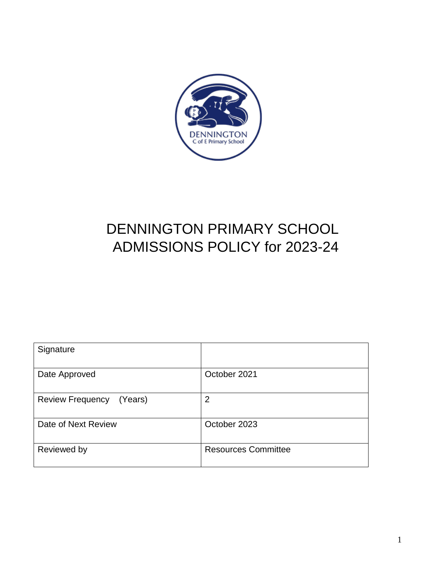

# DENNINGTON PRIMARY SCHOOL ADMISSIONS POLICY for 2023-24

| Signature                |                            |
|--------------------------|----------------------------|
| Date Approved            | October 2021               |
| Review Frequency (Years) | $\overline{2}$             |
| Date of Next Review      | October 2023               |
| Reviewed by              | <b>Resources Committee</b> |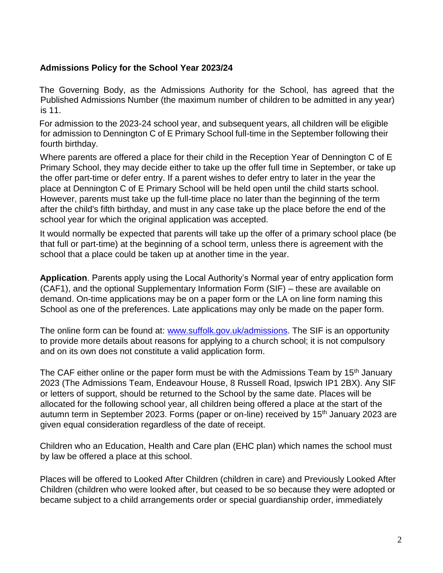#### **Admissions Policy for the School Year 2023/24**

The Governing Body, as the Admissions Authority for the School, has agreed that the Published Admissions Number (the maximum number of children to be admitted in any year) is 11.

For admission to the 2023-24 school year, and subsequent years, all children will be eligible for admission to Dennington C of E Primary School full-time in the September following their fourth birthday.

Where parents are offered a place for their child in the Reception Year of Dennington C of E Primary School, they may decide either to take up the offer full time in September, or take up the offer part-time or defer entry. If a parent wishes to defer entry to later in the year the place at Dennington C of E Primary School will be held open until the child starts school. However, parents must take up the full-time place no later than the beginning of the term after the child's fifth birthday, and must in any case take up the place before the end of the school year for which the original application was accepted.

It would normally be expected that parents will take up the offer of a primary school place (be that full or part-time) at the beginning of a school term, unless there is agreement with the school that a place could be taken up at another time in the year.

**Application**. Parents apply using the Local Authority's Normal year of entry application form (CAF1), and the optional Supplementary Information Form (SIF) – these are available on demand. On-time applications may be on a paper form or the LA on line form naming this School as one of the preferences. Late applications may only be made on the paper form.

The online form can be found at: www.suffolk.gov.uk/admissions. The SIF is an opportunity to provide more details about reasons for applying to a church school; it is not compulsory and on its own does not constitute a valid application form.

The CAF either online or the paper form must be with the Admissions Team by 15<sup>th</sup> January 2023 (The Admissions Team, Endeavour House, 8 Russell Road, Ipswich IP1 2BX). Any SIF or letters of support, should be returned to the School by the same date. Places will be allocated for the following school year, all children being offered a place at the start of the autumn term in September 2023. Forms (paper or on-line) received by 15<sup>th</sup> January 2023 are given equal consideration regardless of the date of receipt.

Children who an Education, Health and Care plan (EHC plan) which names the school must by law be offered a place at this school.

Places will be offered to Looked After Children (children in care) and Previously Looked After Children (children who were looked after, but ceased to be so because they were adopted or became subject to a child arrangements order or special guardianship order, immediately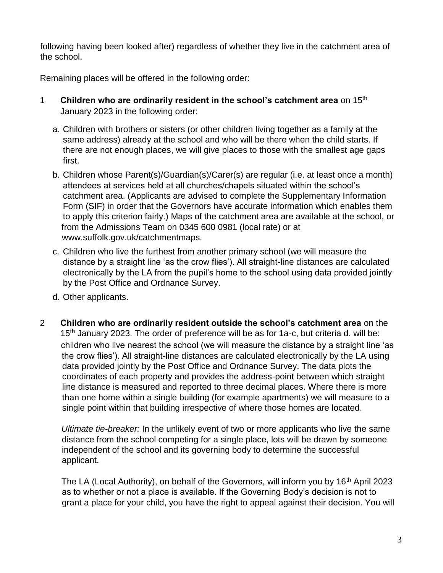following having been looked after) regardless of whether they live in the catchment area of the school.

Remaining places will be offered in the following order:

- 1 **Children who are ordinarily resident in the school's catchment area** on 15th January 2023 in the following order:
	- a. Children with brothers or sisters (or other children living together as a family at the same address) already at the school and who will be there when the child starts. If there are not enough places, we will give places to those with the smallest age gaps first.
	- b. Children whose Parent(s)/Guardian(s)/Carer(s) are regular (i.e. at least once a month) attendees at services held at all churches/chapels situated within the school's catchment area. (Applicants are advised to complete the Supplementary Information Form (SIF) in order that the Governors have accurate information which enables them to apply this criterion fairly.) Maps of the catchment area are available at the school, or from the Admissions Team on 0345 600 0981 (local rate) or at www.suffolk.gov.uk/catchmentmaps.
	- c. Children who live the furthest from another primary school (we will measure the distance by a straight line 'as the crow flies'). All straight-line distances are calculated electronically by the LA from the pupil's home to the school using data provided jointly by the Post Office and Ordnance Survey.
	- d. Other applicants.
- 2 **Children who are ordinarily resident outside the school's catchment area** on the 15<sup>th</sup> January 2023. The order of preference will be as for 1a-c, but criteria d. will be: children who live nearest the school (we will measure the distance by a straight line 'as the crow flies'). All straight-line distances are calculated electronically by the LA using data provided jointly by the Post Office and Ordnance Survey. The data plots the coordinates of each property and provides the address-point between which straight line distance is measured and reported to three decimal places. Where there is more than one home within a single building (for example apartments) we will measure to a single point within that building irrespective of where those homes are located.

*Ultimate tie-breaker:* In the unlikely event of two or more applicants who live the same distance from the school competing for a single place, lots will be drawn by someone independent of the school and its governing body to determine the successful applicant.

The LA (Local Authority), on behalf of the Governors, will inform you by 16<sup>th</sup> April 2023 as to whether or not a place is available. If the Governing Body's decision is not to grant a place for your child, you have the right to appeal against their decision. You will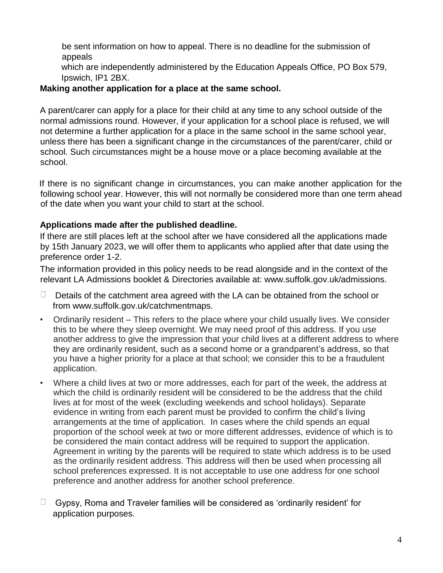be sent information on how to appeal. There is no deadline for the submission of appeals

which are independently administered by the Education Appeals Office, PO Box 579, Ipswich, IP1 2BX.

#### **Making another application for a place at the same school.**

A parent/carer can apply for a place for their child at any time to any school outside of the normal admissions round. However, if your application for a school place is refused, we will not determine a further application for a place in the same school in the same school year, unless there has been a significant change in the circumstances of the parent/carer, child or school. Such circumstances might be a house move or a place becoming available at the school.

If there is no significant change in circumstances, you can make another application for the following school year. However, this will not normally be considered more than one term ahead of the date when you want your child to start at the school.

## **Applications made after the published deadline.**

If there are still places left at the school after we have considered all the applications made by 15th January 2023, we will offer them to applicants who applied after that date using the preference order 1-2.

The information provided in this policy needs to be read alongside and in the context of the relevant LA Admissions booklet & Directories available at: www.suffolk.gov.uk/admissions.

- $\Box$  Details of the catchment area agreed with the LA can be obtained from the school or from www.suffolk.gov.uk/catchmentmaps.
- Ordinarily resident This refers to the place where your child usually lives. We consider this to be where they sleep overnight. We may need proof of this address. If you use another address to give the impression that your child lives at a different address to where they are ordinarily resident, such as a second home or a grandparent's address, so that you have a higher priority for a place at that school; we consider this to be a fraudulent application.
- Where a child lives at two or more addresses, each for part of the week, the address at which the child is ordinarily resident will be considered to be the address that the child lives at for most of the week (excluding weekends and school holidays). Separate evidence in writing from each parent must be provided to confirm the child's living arrangements at the time of application. In cases where the child spends an equal proportion of the school week at two or more different addresses, evidence of which is to be considered the main contact address will be required to support the application. Agreement in writing by the parents will be required to state which address is to be used as the ordinarily resident address. This address will then be used when processing all school preferences expressed. It is not acceptable to use one address for one school preference and another address for another school preference.
- $\Box$  Gypsy, Roma and Traveler families will be considered as 'ordinarily resident' for application purposes.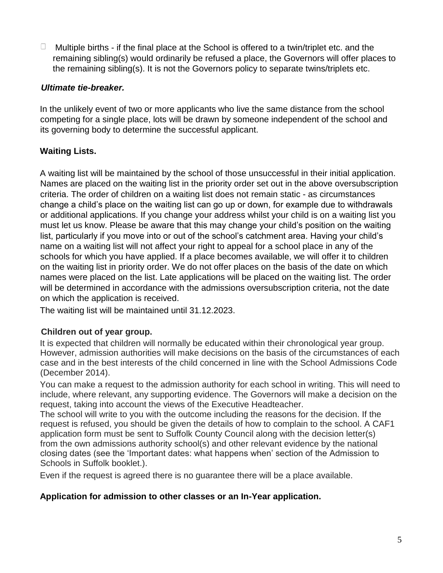$\Box$  Multiple births - if the final place at the School is offered to a twin/triplet etc. and the remaining sibling(s) would ordinarily be refused a place, the Governors will offer places to the remaining sibling(s). It is not the Governors policy to separate twins/triplets etc.

#### *Ultimate tie-breaker.*

In the unlikely event of two or more applicants who live the same distance from the school competing for a single place, lots will be drawn by someone independent of the school and its governing body to determine the successful applicant.

# **Waiting Lists.**

A waiting list will be maintained by the school of those unsuccessful in their initial application. Names are placed on the waiting list in the priority order set out in the above oversubscription criteria. The order of children on a waiting list does not remain static - as circumstances change a child's place on the waiting list can go up or down, for example due to withdrawals or additional applications. If you change your address whilst your child is on a waiting list you must let us know. Please be aware that this may change your child's position on the waiting list, particularly if you move into or out of the school's catchment area. Having your child's name on a waiting list will not affect your right to appeal for a school place in any of the schools for which you have applied. If a place becomes available, we will offer it to children on the waiting list in priority order. We do not offer places on the basis of the date on which names were placed on the list. Late applications will be placed on the waiting list. The order will be determined in accordance with the admissions oversubscription criteria, not the date on which the application is received.

The waiting list will be maintained until 31.12.2023.

#### **Children out of year group.**

It is expected that children will normally be educated within their chronological year group. However, admission authorities will make decisions on the basis of the circumstances of each case and in the best interests of the child concerned in line with the School Admissions Code (December 2014).

You can make a request to the admission authority for each school in writing. This will need to include, where relevant, any supporting evidence. The Governors will make a decision on the request, taking into account the views of the Executive Headteacher.

The school will write to you with the outcome including the reasons for the decision. If the request is refused, you should be given the details of how to complain to the school. A CAF1 application form must be sent to Suffolk County Council along with the decision letter(s) from the own admissions authority school(s) and other relevant evidence by the national closing dates (see the 'Important dates: what happens when' section of the Admission to Schools in Suffolk booklet.).

Even if the request is agreed there is no guarantee there will be a place available.

#### **Application for admission to other classes or an In-Year application.**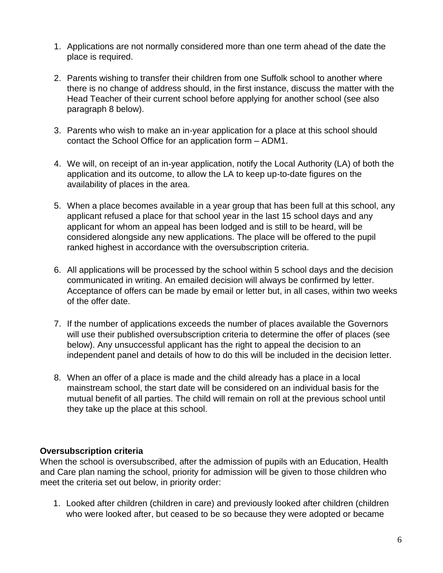- 1. Applications are not normally considered more than one term ahead of the date the place is required.
- 2. Parents wishing to transfer their children from one Suffolk school to another where there is no change of address should, in the first instance, discuss the matter with the Head Teacher of their current school before applying for another school (see also paragraph 8 below).
- 3. Parents who wish to make an in-year application for a place at this school should contact the School Office for an application form – ADM1.
- 4. We will, on receipt of an in-year application, notify the Local Authority (LA) of both the application and its outcome, to allow the LA to keep up-to-date figures on the availability of places in the area.
- 5. When a place becomes available in a year group that has been full at this school, any applicant refused a place for that school year in the last 15 school days and any applicant for whom an appeal has been lodged and is still to be heard, will be considered alongside any new applications. The place will be offered to the pupil ranked highest in accordance with the oversubscription criteria.
- 6. All applications will be processed by the school within 5 school days and the decision communicated in writing. An emailed decision will always be confirmed by letter. Acceptance of offers can be made by email or letter but, in all cases, within two weeks of the offer date.
- 7. If the number of applications exceeds the number of places available the Governors will use their published oversubscription criteria to determine the offer of places (see below). Any unsuccessful applicant has the right to appeal the decision to an independent panel and details of how to do this will be included in the decision letter.
- 8. When an offer of a place is made and the child already has a place in a local mainstream school, the start date will be considered on an individual basis for the mutual benefit of all parties. The child will remain on roll at the previous school until they take up the place at this school.

#### **Oversubscription criteria**

When the school is oversubscribed, after the admission of pupils with an Education, Health and Care plan naming the school, priority for admission will be given to those children who meet the criteria set out below, in priority order:

1. Looked after children (children in care) and previously looked after children (children who were looked after, but ceased to be so because they were adopted or became